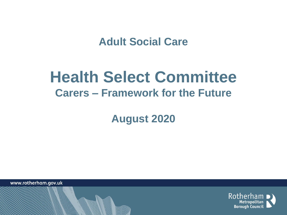**Adult Social Care** 

# **Health Select Committee Carers – Framework for the Future**

**August 2020** 

www.rotherham.gov.uk

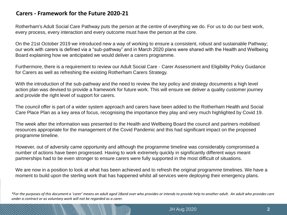# **Carers - Framework for the Future 2020-21**

Rotherham's Adult Social Care Pathway puts the person at the centre of everything we do. For us to do our best work, every process, every interaction and every outcome must have the person at the core.

On the 21st October 2019 we introduced new a way of working to ensure a consistent, robust and sustainable Pathway; our work with carers is defined via a "sub-pathway" and in March 2020 plans were shared with the Health and Wellbeing Board explaining how we anticipated we would deliver a carers programme.

Furthermore, there is a requirement to review our Adult Social Care - Carer Assessment and Eligibility Policy Guidance for Carers as well as refreshing the existing Rotherham Carers Strategy.

With the introduction of the sub-pathway and the need to review the key policy and strategy documents a high level action plan was devised to provide a framework for future work. This will ensure we deliver a quality customer journey and provide the right level of support for carers.

The council offer is part of a wider system approach and carers have been added to the Rotherham Health and Social Care Place Plan as a key area of focus, recognising the importance they play and very much highlighted by Covid 19.

The week after the information was presented to the Health and Wellbeing Board the council and partners mobilised resources appropriate for the management of the Covid Pandemic and this had significant impact on the proposed programme timeline.

However, out of adversity came opportunity and although the programme timeline was considerably compromised a number of actions have been progressed. Having to work extremely quickly in significantly different ways meant partnerships had to be even stronger to ensure carers were fully supported in the most difficult of situations.

We are now in a position to look at what has been achieved and to refresh the original programme timelines. We have a moment to build upon the sterling work that has happened whilst all services were deploying their emergency plans.

*\*For the purposes of this document a 'carer' means an adult aged 18and over who provides or intends to provide help to another adult. An adult who provides care under a contract or as voluntary work will not be regarded as a carer.*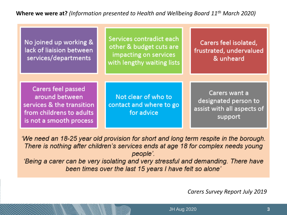**Where we were at?** *(Information presented to Health and Wellbeing Board 11th March 2020)*

| No joined up working &<br>lack of liaision between<br>services/departments                                                      | Services contradict each<br>other & budget cuts are<br>impacting on services<br>with lengthy waiting lists | Carers feel isolated,<br>frustrated, undervalued<br>& unheard                  |
|---------------------------------------------------------------------------------------------------------------------------------|------------------------------------------------------------------------------------------------------------|--------------------------------------------------------------------------------|
|                                                                                                                                 |                                                                                                            |                                                                                |
| <b>Carers feel passed</b><br>around between<br>services & the transition<br>from childrens to adults<br>is not a smooth process | Not clear of who to<br>contact and where to go<br>for advice                                               | Carers want a<br>designated person to<br>assist with all aspects of<br>support |

'We need an 18-25 year old provision for short and long term respite in the borough. There is nothing after children's services ends at age 18 for complex needs young people'.

'Being a carer can be very isolating and very stressful and demanding. There have been times over the last 15 years I have felt so alone'

*Carers Survey Report July 2019*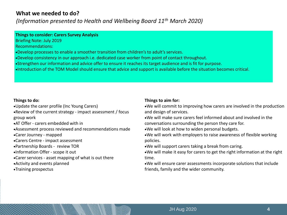## **What we needed to do?**

*(Information presented to Health and Wellbeing Board 11th March 2020)*

#### **Things to consider: Carers Survey Analysis**

Briefing Note: July 2019

Recommendations:

- •Develop processes to enable a smoother transition from children's to adult's services.
- •Develop consistency in our approach i.e. dedicated case worker from point of contact throughout.
- •Strengthen our information and advice offer to ensure it reaches its target audience and is fit for purpose.
- •Introduction of the TOM Model should ensure that advice and support is available before the situation becomes critical.

#### **Things to do:**

- •Update the carer profile (Inc Young Carers)
- •Review of the current strategy impact assessment / focus group work
- •AT Offer carers embedded with in
- •Assessment process reviewed and recommendations made
- •Carer Journey mapped
- •Carers Centre impact assessment
- •Partnership Boards review TOR
- •Information Offer scope it out
- •Carer services asset mapping of what is out there
- •Activity and events planned
- •Training prospectus

#### **Things to aim for:**

- •We will commit to improving how carers are involved in the production and design of services.
- •We will make sure carers feel informed about and involved in the conversations surrounding the person they care for.
- •We will look at how to widen personal budgets.
- •We will work with employers to raise awareness of flexible working policies.
- •We will support carers taking a break from caring.
- •We will make it easy for carers to get the right information at the right time.
- •We will ensure carer assessments incorporate solutions that include friends, family and the wider community.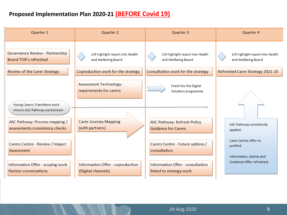# **Proposed Implementation Plan 2020-21 (BEFORE Covid 19)**

| Quarter 1                                                        | Quarter 2                                       | Quarter 3                                                        | Quarter 4                                                        |
|------------------------------------------------------------------|-------------------------------------------------|------------------------------------------------------------------|------------------------------------------------------------------|
| Governance Review - Partnership                                  | 1/4 highlight report into Health                | 1/4 highlight report into Health                                 | 1/4 highlight report into Health                                 |
| <b>Board TOR's refreshed</b>                                     | and Wellbeing Board                             | and Wellbeing Board                                              | and Wellbeing Board                                              |
| <b>Review of the Carer Strategy</b>                              | Coproduction work for the strategy              | Consultation work for the strategy                               | Refreshed Carer Strategy 2021-25                                 |
| Young Carers: Transitions work                                   | <b>Assessment Technology -</b>                  | Feed into the Digital                                            |                                                                  |
| mirrors ASC Pathway workstream                                   | requirements for carers                         | Solutions programme                                              |                                                                  |
| ASC Pathway: Process mapping /<br>assessments consistency checks | <b>Carer Journey Mapping</b><br>(with partners) | <b>ASC Pathway: Refresh Policy</b><br><b>Guidance for Carers</b> | ASC Pathway consistently<br>applied.<br>Carer Centre offer re-   |
| Carers Centre - Review / Impact<br><b>Assessment</b>             |                                                 | Carers Centre - Future options /<br>consultation                 | profiled<br>Information, Advice and<br>Guidance Offer refreshed. |
| Information Offer - scoping work                                 | Information Offer - coproduction                | Information Offer - consultation                                 |                                                                  |
| <b>Partner conversations</b>                                     | (Digital channels)                              | linked to strategy work                                          |                                                                  |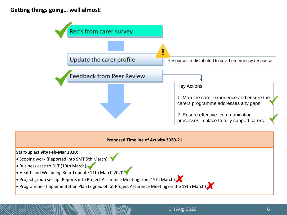#### **Getting things going… well almost!**

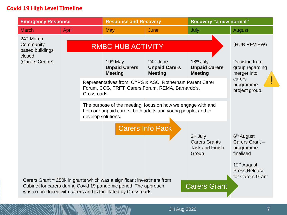### **Covid 19 High Level Timeline**

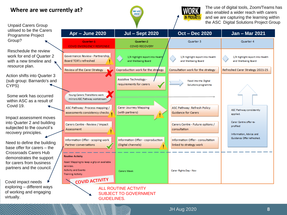# **Where are we currently at?**

The use of digital tools, Zoom/Teams has also enabled a wider reach with carers and we are capturing the learning within the ASC Digital Solutions Project Group

Programme Project Group? Reschedule the review work for end of Quarter 2 with a new timeline and resource plan. Action shifts into Quarter 3

Unpaid Carers Group utilised to be the Carers

(sub group: Barnardo's and CYPS)

Some work has occurred within ASC as a result of Covid 19.

Impact assessment moves into Quarter 2 and building subjected to the council's recovery principles.

Need to define the building base offer for carers – the Crossroads Carers Hub demonstrates the support for carers from business partners and the council.

Covid impact needs exploring – different ways of working and engaging virtually.



Here

JH Aug 2020 **8**

GUIDELINES.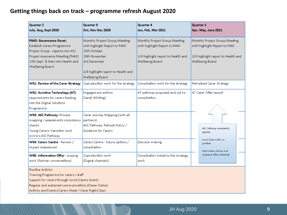# **Getting things back on track – programme refresh August 2020**

| Quarter 2<br>July, Aug, Sept 2020                                                                                                                                                                                            | Quarter 3<br>Oct, Nov Dec 2020                                                                                                                                                  | Quarter 4<br>Jan, Feb, Mar 2021                                                                                        | Quarter 1<br>Apr, May, June 2021                                                                                       |
|------------------------------------------------------------------------------------------------------------------------------------------------------------------------------------------------------------------------------|---------------------------------------------------------------------------------------------------------------------------------------------------------------------------------|------------------------------------------------------------------------------------------------------------------------|------------------------------------------------------------------------------------------------------------------------|
| PMO: Governance Reset:<br>Establish Carers Programme<br>Project Group - reports into ASC<br>Project Assurance Meeting (PAM)<br>17th Sept & then into Health and<br>Wellbeing Board                                           | Monthly Project Group Meeting<br>with highlight Report to PAM:<br>15th October<br>19th November<br><b>3rd December</b><br>1/4 highlight report to Health and<br>Wellbeing Board | Monthly Project Group Meeting<br>with highlight Report to PAM<br>1/4 highlight report to Health and<br>Wellbeing Board | Monthly Project Group Meeting<br>with highlight Report to PAM<br>1/4 highlight report to Health and<br>Wellbeing Board |
| WS1: Review of the Carer Strategy                                                                                                                                                                                            | Coproduction work for the strategy                                                                                                                                              | Consultation work for the strategy                                                                                     | Refreshed Carer Strategy                                                                                               |
| WS2: Assistive Technology (AT)<br>requirements for carers feeding<br>into the Digital Solutions<br>Programme                                                                                                                 | Engagement activity<br>(Sandi Whiting)                                                                                                                                          | AT pathway proposed and out to<br>consultation.                                                                        | AT Carer Offer launch                                                                                                  |
| WS3: ASC Pathway: Process<br>mapping / assessments consistency<br>checks<br>Young Carers: transition work<br>mirrors ASC Pathway                                                                                             | Carer Journey Mapping (with all<br>partners)<br>ASC Pathway: Refresh Policy /<br>Guidance for Carers                                                                            |                                                                                                                        | <b>ASC Pathway consistently</b><br>applied.                                                                            |
| WS4: Carers Centre - Review /<br>Impact Assessment                                                                                                                                                                           | Carers Centre - future options /<br>consultation                                                                                                                                | Decision making                                                                                                        | Carer Centre offer re-<br>profiled<br>Information, Advice and<br>Guidance Offer refreshed.                             |
| WS5: Information Offer - scoping<br>work (Partner conversations)                                                                                                                                                             | Coproduction work<br>(Digital channels)                                                                                                                                         | Consultation linked to the strategy<br>work                                                                            |                                                                                                                        |
| Routine Activity:<br>Training Programme for carers / staff<br>Support for carers through covid (Carers Grant)<br>Regular and sustained communications (Diane Clarke)<br>Activity and Events (Carers Week / Carer Rights Day) |                                                                                                                                                                                 |                                                                                                                        |                                                                                                                        |